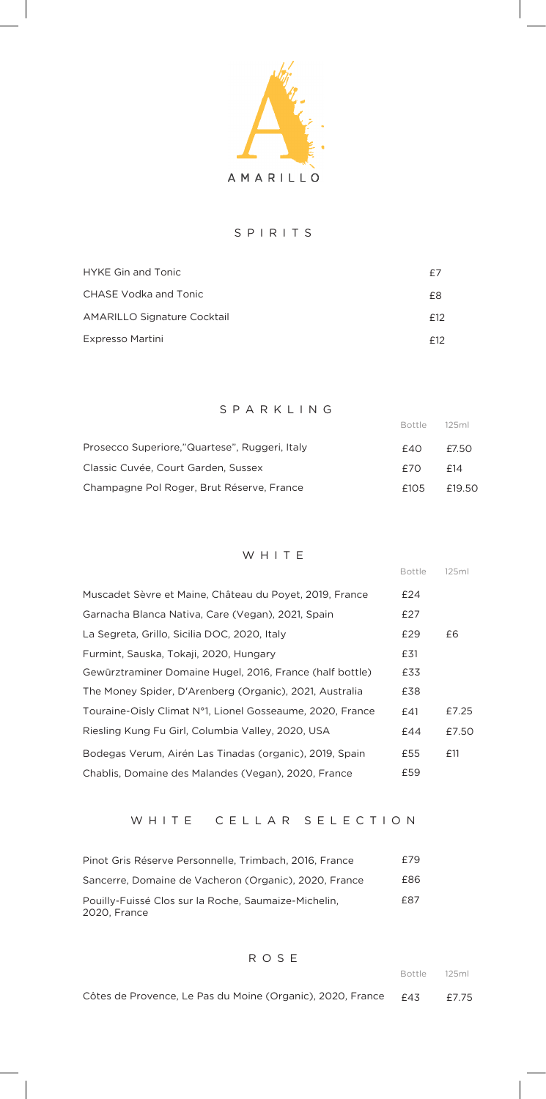

### S PIRITS

| <b>HYKE Gin and Tonic</b>          | £7  |
|------------------------------------|-----|
| CHASE Vodka and Tonic              | £8  |
| <b>AMARILLO Signature Cocktail</b> | f12 |
| Expresso Martini                   | f12 |

S PARKL ING

| Prosecco Superiore,"Quartese", Ruggeri, Italy | £40  | £7.50  |
|-----------------------------------------------|------|--------|
| Classic Cuvée, Court Garden, Sussex           | F7O. | f14    |
| Champagne Pol Roger, Brut Réserve, France     | £105 | £19.50 |

#### WHITE

|                                                           | <b>Bottle</b> | 125ml |
|-----------------------------------------------------------|---------------|-------|
| Muscadet Sèvre et Maine, Château du Poyet, 2019, France   | £24           |       |
| Garnacha Blanca Nativa, Care (Vegan), 2021, Spain         | £27           |       |
| La Segreta, Grillo, Sicilia DOC, 2020, Italy              | £29           | £6    |
| Furmint, Sauska, Tokaji, 2020, Hungary                    | £31           |       |
| Gewürztraminer Domaine Hugel, 2016, France (half bottle)  | £33           |       |
| The Money Spider, D'Arenberg (Organic), 2021, Australia   | £38           |       |
| Touraine-Oisly Climat N°1, Lionel Gosseaume, 2020, France | £41           | £7.25 |
| Riesling Kung Fu Girl, Columbia Valley, 2020, USA         | £44           | £7.50 |
| Bodegas Verum, Airén Las Tinadas (organic), 2019, Spain   | £55           | £11   |
| Chablis, Domaine des Malandes (Vegan), 2020, France       | £59           |       |

# W HITE CELLAR SELECTION

| Pinot Gris Réserve Personnelle, Trimbach, 2016, France               | £79 |
|----------------------------------------------------------------------|-----|
| Sancerre, Domaine de Vacheron (Organic), 2020, France                | £86 |
| Pouilly-Fuissé Clos sur la Roche, Saumaize-Michelin,<br>2020. France | £87 |

**ROSE** 

Bottle 125ml

Bottle 125ml

Côtes de Provence, Le Pas du Moine (Organic), 2020, France £43 £7.75